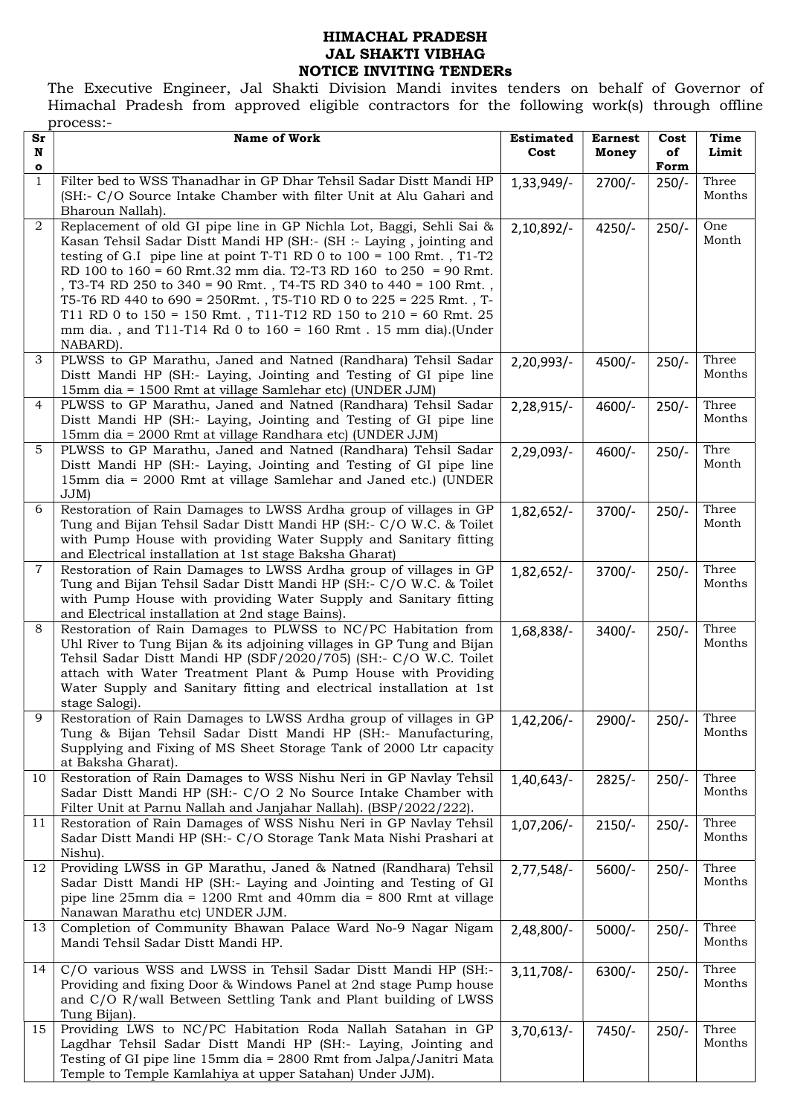## HIMACHAL PRADESH JAL SHAKTI VIBHAG NOTICE INVITING TENDERs

The Executive Engineer, Jal Shakti Division Mandi invites tenders on behalf of Governor of Himachal Pradesh from approved eligible contractors for the following work(s) through offline process:-

| Sr<br>N                      | <b>Name of Work</b>                                                                                                                                                                                                                                                                                                                                                                                                                                                                                                                                                                                     | <b>Estimated</b><br>Cost | <b>Earnest</b><br>Money | Cost<br>of      | Time<br>Limit   |
|------------------------------|---------------------------------------------------------------------------------------------------------------------------------------------------------------------------------------------------------------------------------------------------------------------------------------------------------------------------------------------------------------------------------------------------------------------------------------------------------------------------------------------------------------------------------------------------------------------------------------------------------|--------------------------|-------------------------|-----------------|-----------------|
| $\mathbf{o}$<br>$\mathbf{1}$ | Filter bed to WSS Thanadhar in GP Dhar Tehsil Sadar Distt Mandi HP<br>(SH:- C/O Source Intake Chamber with filter Unit at Alu Gahari and                                                                                                                                                                                                                                                                                                                                                                                                                                                                | 1,33,949/                | $2700/-$                | Form<br>$250/-$ | Three<br>Months |
| $\overline{2}$               | Bharoun Nallah).<br>Replacement of old GI pipe line in GP Nichla Lot, Baggi, Sehli Sai &<br>Kasan Tehsil Sadar Distt Mandi HP (SH:- (SH :- Laying, jointing and<br>testing of G.I pipe line at point T-T1 RD 0 to $100 = 100$ Rmt., T1-T2<br>RD 100 to 160 = 60 Rmt.32 mm dia. T2-T3 RD 160 to 250 = 90 Rmt.<br>, T3-T4 RD 250 to 340 = 90 Rmt., T4-T5 RD 340 to 440 = 100 Rmt.,<br>T5-T6 RD 440 to 690 = 250Rmt., T5-T10 RD 0 to 225 = 225 Rmt., T-<br>T11 RD 0 to $150 = 150$ Rmt., T11-T12 RD 150 to $210 = 60$ Rmt. 25<br>mm dia., and T11-T14 Rd 0 to 160 = 160 Rmt. 15 mm dia).(Under<br>NABARD). | 2,10,892/-               | $4250/-$                | $250/-$         | One<br>Month    |
| 3                            | PLWSS to GP Marathu, Janed and Natned (Randhara) Tehsil Sadar<br>Distt Mandi HP (SH:- Laying, Jointing and Testing of GI pipe line<br>15mm dia = 1500 Rmt at village Samlehar etc) (UNDER JJM)                                                                                                                                                                                                                                                                                                                                                                                                          | $2,20,993/$ -            | $4500/-$                | $250/-$         | Three<br>Months |
| 4                            | PLWSS to GP Marathu, Janed and Natned (Randhara) Tehsil Sadar<br>Distt Mandi HP (SH:- Laying, Jointing and Testing of GI pipe line<br>15mm dia = 2000 Rmt at village Randhara etc) (UNDER JJM)                                                                                                                                                                                                                                                                                                                                                                                                          | 2,28,915/-               | 4600/-                  | $250/-$         | Three<br>Months |
| 5                            | PLWSS to GP Marathu, Janed and Natned (Randhara) Tehsil Sadar<br>Distt Mandi HP (SH:- Laying, Jointing and Testing of GI pipe line<br>15mm dia = 2000 Rmt at village Samlehar and Janed etc.) (UNDER<br>$JJM$ )                                                                                                                                                                                                                                                                                                                                                                                         | 2,29,093/                | $4600/-$                | $250/-$         | Thre<br>Month   |
| 6                            | Restoration of Rain Damages to LWSS Ardha group of villages in GP<br>Tung and Bijan Tehsil Sadar Distt Mandi HP (SH:- C/O W.C. & Toilet<br>with Pump House with providing Water Supply and Sanitary fitting<br>and Electrical installation at 1st stage Baksha Gharat)                                                                                                                                                                                                                                                                                                                                  | $1,82,652/-$             | $3700/-$                | $250/-$         | Three<br>Month  |
| 7                            | Restoration of Rain Damages to LWSS Ardha group of villages in GP<br>Tung and Bijan Tehsil Sadar Distt Mandi HP (SH:- C/O W.C. & Toilet<br>with Pump House with providing Water Supply and Sanitary fitting<br>and Electrical installation at 2nd stage Bains).                                                                                                                                                                                                                                                                                                                                         | 1,82,652/-               | $3700/-$                | $250/-$         | Three<br>Months |
| 8                            | Restoration of Rain Damages to PLWSS to NC/PC Habitation from<br>Uhl River to Tung Bijan & its adjoining villages in GP Tung and Bijan<br>Tehsil Sadar Distt Mandi HP (SDF/2020/705) (SH:- C/O W.C. Toilet<br>attach with Water Treatment Plant & Pump House with Providing<br>Water Supply and Sanitary fitting and electrical installation at 1st<br>stage Salogi).                                                                                                                                                                                                                                   | 1,68,838/-               | $3400/-$                | $250/-$         | Three<br>Months |
| 9                            | Restoration of Rain Damages to LWSS Ardha group of villages in GP<br>Tung & Bijan Tehsil Sadar Distt Mandi HP (SH:- Manufacturing,<br>Supplying and Fixing of MS Sheet Storage Tank of 2000 Ltr capacity<br>at Baksha Gharat).                                                                                                                                                                                                                                                                                                                                                                          | $1,42,206/-$             | $2900/-$                | $250/-$         | Three<br>Months |
| 10                           | Restoration of Rain Damages to WSS Nishu Neri in GP Navlay Tehsil<br>Sadar Distt Mandi HP (SH:- C/O 2 No Source Intake Chamber with<br>Filter Unit at Parnu Nallah and Janjahar Nallah). (BSP/2022/222).                                                                                                                                                                                                                                                                                                                                                                                                | 1,40,643/                | $2825/-$                | $250/-$         | Three<br>Months |
| 11                           | Restoration of Rain Damages of WSS Nishu Neri in GP Navlay Tehsil<br>Sadar Distt Mandi HP (SH:- C/O Storage Tank Mata Nishi Prashari at<br>Nishu).                                                                                                                                                                                                                                                                                                                                                                                                                                                      | $1,07,206/-$             | $2150/-$                | $250/-$         | Three<br>Months |
| 12                           | Providing LWSS in GP Marathu, Janed & Natned (Randhara) Tehsil<br>Sadar Distt Mandi HP (SH:- Laying and Jointing and Testing of GI<br>pipe line $25mm$ dia = 1200 Rmt and 40mm dia = 800 Rmt at village<br>Nanawan Marathu etc) UNDER JJM.                                                                                                                                                                                                                                                                                                                                                              | 2,77,548/                | $5600/-$                | $250/-$         | Three<br>Months |
| 13                           | Completion of Community Bhawan Palace Ward No-9 Nagar Nigam<br>Mandi Tehsil Sadar Distt Mandi HP.                                                                                                                                                                                                                                                                                                                                                                                                                                                                                                       | 2,48,800/-               | $5000/-$                | $250/-$         | Three<br>Months |
| 14                           | C/O various WSS and LWSS in Tehsil Sadar Distt Mandi HP (SH:-<br>Providing and fixing Door & Windows Panel at 2nd stage Pump house<br>and C/O R/wall Between Settling Tank and Plant building of LWSS<br>Tung Bijan).                                                                                                                                                                                                                                                                                                                                                                                   | $3,11,708/-$             | $6300/-$                | $250/-$         | Three<br>Months |
| 15                           | Providing LWS to NC/PC Habitation Roda Nallah Satahan in GP<br>Lagdhar Tehsil Sadar Distt Mandi HP (SH:- Laying, Jointing and<br>Testing of GI pipe line 15mm dia = 2800 Rmt from Jalpa/Janitri Mata<br>Temple to Temple Kamlahiya at upper Satahan) Under JJM).                                                                                                                                                                                                                                                                                                                                        | 3,70,613/                | 7450/-                  | $250/-$         | Three<br>Months |